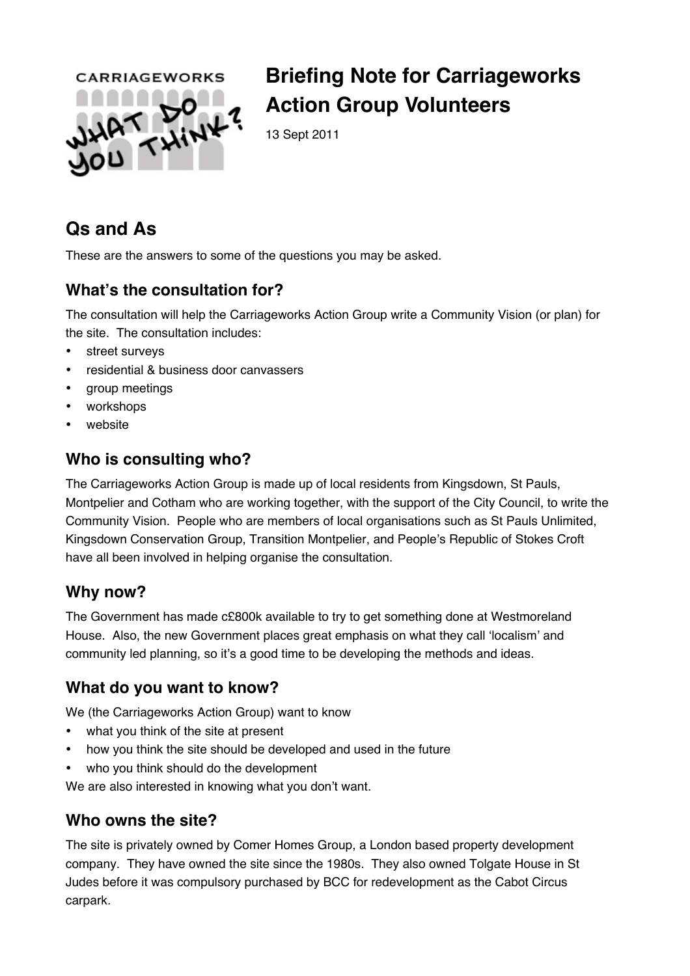

# **Briefing Note for Carriageworks Action Group Volunteers**

13 Sept 2011

## **Qs and As**

These are the answers to some of the questions you may be asked.

## **What!s the consultation for?**

The consultation will help the Carriageworks Action Group write a Community Vision (or plan) for the site. The consultation includes:

- street surveys
- residential & business door canvassers
- group meetings
- workshops
- website

### **Who is consulting who?**

The Carriageworks Action Group is made up of local residents from Kingsdown, St Pauls, Montpelier and Cotham who are working together, with the support of the City Council, to write the Community Vision. People who are members of local organisations such as St Pauls Unlimited, Kingsdown Conservation Group, Transition Montpelier, and People's Republic of Stokes Croft have all been involved in helping organise the consultation.

#### **Why now?**

The Government has made c£800k available to try to get something done at Westmoreland House. Also, the new Government places great emphasis on what they call 'localism' and community led planning, so it's a good time to be developing the methods and ideas.

## **What do you want to know?**

We (the Carriageworks Action Group) want to know

- what you think of the site at present
- how you think the site should be developed and used in the future
- who you think should do the development

We are also interested in knowing what you don't want.

#### **Who owns the site?**

The site is privately owned by Comer Homes Group, a London based property development company. They have owned the site since the 1980s. They also owned Tolgate House in St Judes before it was compulsory purchased by BCC for redevelopment as the Cabot Circus carpark.